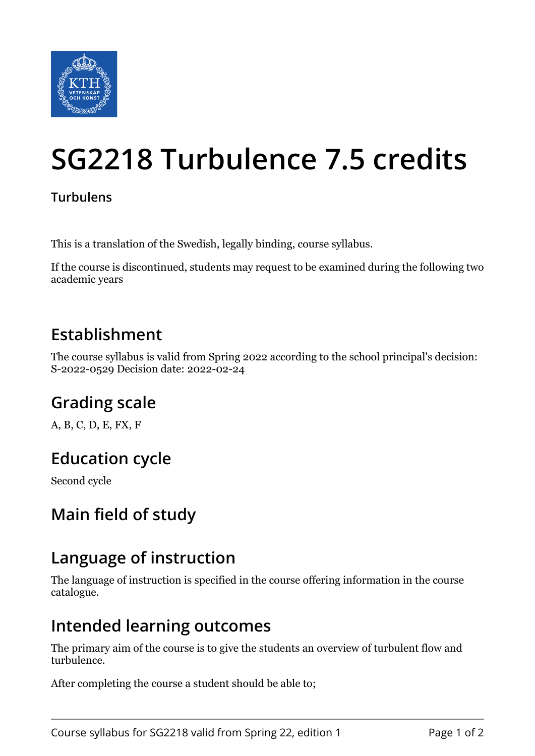

# **SG2218 Turbulence 7.5 credits**

#### **Turbulens**

This is a translation of the Swedish, legally binding, course syllabus.

If the course is discontinued, students may request to be examined during the following two academic years

#### **Establishment**

The course syllabus is valid from Spring 2022 according to the school principal's decision: S-2022-0529 Decision date: 2022-02-24

# **Grading scale**

A, B, C, D, E, FX, F

# **Education cycle**

Second cycle

#### **Main field of study**

#### **Language of instruction**

The language of instruction is specified in the course offering information in the course catalogue.

#### **Intended learning outcomes**

The primary aim of the course is to give the students an overview of turbulent flow and turbulence.

After completing the course a student should be able to;